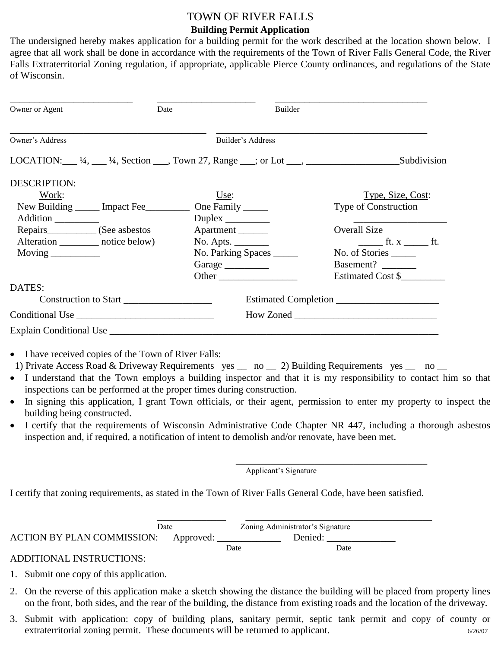# TOWN OF RIVER FALLS **Building Permit Application**

The undersigned hereby makes application for a building permit for the work described at the location shown below. I agree that all work shall be done in accordance with the requirements of the Town of River Falls General Code, the River Falls Extraterritorial Zoning regulation, if appropriate, applicable Pierce County ordinances, and regulations of the State of Wisconsin.

| Owner or Agent                                                                       | Date |                                             | Builder |                                  |  |
|--------------------------------------------------------------------------------------|------|---------------------------------------------|---------|----------------------------------|--|
| Owner's Address                                                                      |      | Builder's Address                           |         |                                  |  |
| LOCATION: $\_\_$ ¼, $\_\_$ ¼, Section $\_\_$ , Town 27, Range $\_\_$ ; or Lot $\_\_$ |      |                                             |         | Subdivision                      |  |
| <b>DESCRIPTION:</b>                                                                  |      |                                             |         |                                  |  |
| Work:                                                                                |      | Use:                                        |         | Type, Size, Cost:                |  |
| New Building _______ Impact Fee___________                                           |      | One Family _______                          |         | Type of Construction             |  |
| Addition __________                                                                  |      | Duplex $\_\_\_\_\_\_\_\_\_\_\_\_\_\_\_\_\_$ |         |                                  |  |
|                                                                                      |      | Apartment                                   |         | <b>Overall Size</b>              |  |
| Alteration __________ notice below)                                                  |      | $No.$ Apts. $\_\_\_\_\_\_\_\_\_\_\_\_\_\_$  |         | $\mathbf{f}$ t. $\mathbf{x}$ ft. |  |
| Moving $\frac{1}{\sqrt{1-\frac{1}{2}}\cdot\frac{1}{\sqrt{1-\frac{1}{2}}}}$           |      | No. Parking Spaces                          |         | No. of Stories                   |  |
|                                                                                      |      | Garage                                      |         | Basement?                        |  |
|                                                                                      |      | Other                                       |         | Estimated Cost \$                |  |
| DATES:                                                                               |      |                                             |         |                                  |  |
| Construction to Start                                                                |      |                                             |         |                                  |  |
|                                                                                      |      |                                             |         |                                  |  |
| Explain Conditional Use                                                              |      |                                             |         |                                  |  |

- I have received copies of the Town of River Falls:
- 1) Private Access Road & Driveway Requirements yes  $\_\_$ no  $\_\_$ 2) Building Requirements yes  $\_\_$ no  $\_\_$
- I understand that the Town employs a building inspector and that it is my responsibility to contact him so that inspections can be performed at the proper times during construction.
- In signing this application, I grant Town officials, or their agent, permission to enter my property to inspect the building being constructed.
- I certify that the requirements of Wisconsin Administrative Code Chapter NR 447, including a thorough asbestos inspection and, if required, a notification of intent to demolish and/or renovate, have been met.

 $\overline{\phantom{a}}$  ,  $\overline{\phantom{a}}$  ,  $\overline{\phantom{a}}$  ,  $\overline{\phantom{a}}$  ,  $\overline{\phantom{a}}$  ,  $\overline{\phantom{a}}$  ,  $\overline{\phantom{a}}$  ,  $\overline{\phantom{a}}$  ,  $\overline{\phantom{a}}$  ,  $\overline{\phantom{a}}$  ,  $\overline{\phantom{a}}$  ,  $\overline{\phantom{a}}$  ,  $\overline{\phantom{a}}$  ,  $\overline{\phantom{a}}$  ,  $\overline{\phantom{a}}$  ,  $\overline{\phantom{a}}$ 

Applicant's Signature

I certify that zoning requirements, as stated in the Town of River Falls General Code, have been satisfied.

|                                      | Date |      | Zoning Administrator's Signature |  |
|--------------------------------------|------|------|----------------------------------|--|
| ACTION BY PLAN COMMISSION: Approved: |      |      | Denied:                          |  |
|                                      |      | Date | Date                             |  |

### ADDITIONAL INSTRUCTIONS:

- 1. Submit one copy of this application.
- 2. On the reverse of this application make a sketch showing the distance the building will be placed from property lines on the front, both sides, and the rear of the building, the distance from existing roads and the location of the driveway.
- 3. Submit with application: copy of building plans, sanitary permit, septic tank permit and copy of county or extraterritorial zoning permit. These documents will be returned to applicant. 6/26/07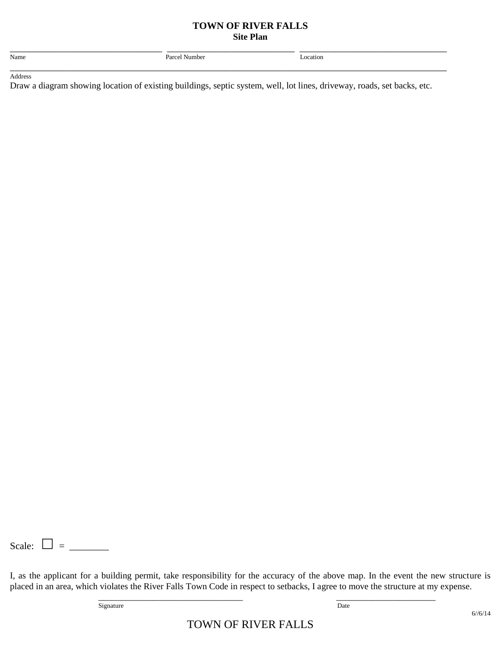#### **TOWN OF RIVER FALLS Site Plan**

| Name    | Parcel Number | Location |  |
|---------|---------------|----------|--|
|         |               |          |  |
| Address |               |          |  |

Draw a diagram showing location of existing buildings, septic system, well, lot lines, driveway, roads, set backs, etc.

Scale:  $\bullet$  =  $\_\_$ 

I, as the applicant for a building permit, take responsibility for the accuracy of the above map. In the event the new structure is placed in an area, which violates the River Falls Town Code in respect to setbacks, I agree to move the structure at my expense.

\_\_\_\_\_\_\_\_\_\_\_\_\_\_\_\_\_\_\_\_\_\_\_\_\_\_\_\_\_\_\_\_ \_\_\_\_\_\_\_\_\_\_\_\_\_\_\_\_\_\_\_\_\_\_

Signature Date

TOWN OF RIVER FALLS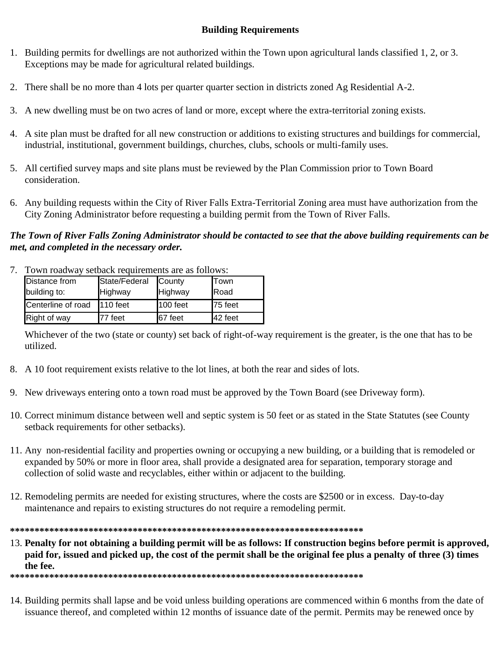# **Building Requirements**

- 1. Building permits for dwellings are not authorized within the Town upon agricultural lands classified 1, 2, or 3. Exceptions may be made for agricultural related buildings.
- 2. There shall be no more than 4 lots per quarter quarter section in districts zoned Ag Residential A-2.
- 3. A new dwelling must be on two acres of land or more, except where the extra-territorial zoning exists.
- 4. A site plan must be drafted for all new construction or additions to existing structures and buildings for commercial, industrial, institutional, government buildings, churches, clubs, schools or multi-family uses.
- 5. All certified survey maps and site plans must be reviewed by the Plan Commission prior to Town Board consideration.
- 6. Any building requests within the City of River Falls Extra-Territorial Zoning area must have authorization from the City Zoning Administrator before requesting a building permit from the Town of River Falls.

## *The Town of River Falls Zoning Administrator should be contacted to see that the above building requirements can be met, and completed in the necessary order.*

7. Town roadway setback requirements are as follows:

| Distance from<br>building to: | State/Federal<br>Highway | County<br>Highway | Town<br>Road |
|-------------------------------|--------------------------|-------------------|--------------|
| Centerline of road 110 feet   |                          | 100 feet          | 75 feet      |
| Right of way                  | 77 feet                  | 67 feet           | 42 feet      |

Whichever of the two (state or county) set back of right-of-way requirement is the greater, is the one that has to be utilized.

- 8. A 10 foot requirement exists relative to the lot lines, at both the rear and sides of lots.
- 9. New driveways entering onto a town road must be approved by the Town Board (see Driveway form).
- 10. Correct minimum distance between well and septic system is 50 feet or as stated in the State Statutes (see County setback requirements for other setbacks).
- 11. Any non-residential facility and properties owning or occupying a new building, or a building that is remodeled or expanded by 50% or more in floor area, shall provide a designated area for separation, temporary storage and collection of solid waste and recyclables, either within or adjacent to the building.
- 12. Remodeling permits are needed for existing structures, where the costs are \$2500 or in excess. Day-to-day maintenance and repairs to existing structures do not require a remodeling permit.

**\*\*\*\*\*\*\*\*\*\*\*\*\*\*\*\*\*\*\*\*\*\*\*\*\*\*\*\*\*\*\*\*\*\*\*\*\*\*\*\*\*\*\*\*\*\*\*\*\*\*\*\*\*\*\*\*\*\*\*\*\*\*\*\*\*\*\*\*\*\*\*\***

13. **Penalty for not obtaining a building permit will be as follows: If construction begins before permit is approved, paid for, issued and picked up, the cost of the permit shall be the original fee plus a penalty of three (3) times the fee.**

**\*\*\*\*\*\*\*\*\*\*\*\*\*\*\*\*\*\*\*\*\*\*\*\*\*\*\*\*\*\*\*\*\*\*\*\*\*\*\*\*\*\*\*\*\*\*\*\*\*\*\*\*\*\*\*\*\*\*\*\*\*\*\*\*\*\*\*\*\*\*\*\***

14. Building permits shall lapse and be void unless building operations are commenced within 6 months from the date of issuance thereof, and completed within 12 months of issuance date of the permit. Permits may be renewed once by